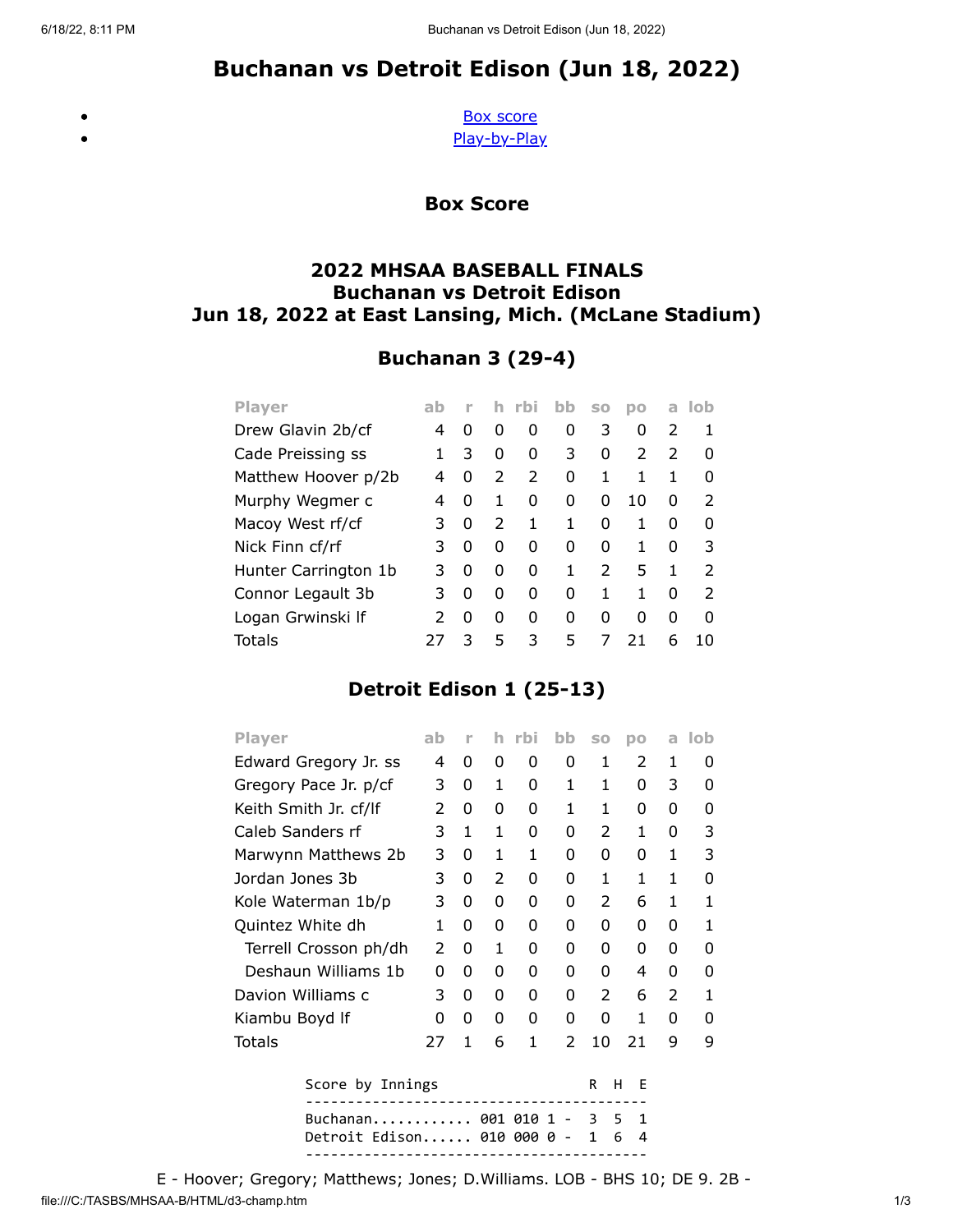# Buchanan vs Detroit Edison (Jun 18, 2022)

<span id="page-0-0"></span> $\bullet$ 

[Box score](#page-0-0) [Play-by-Play](#page-1-0)

Box Score

### 2022 MHSAA BASEBALL FINALS Buchanan vs Detroit Edison Jun 18, 2022 at East Lansing, Mich. (McLane Stadium)

# Buchanan 3 (29-4)

| <b>Player</b>        | ab            |   |               | <b>rbi</b>    | bb | <b>SO</b> | DO            | a             | lob           |
|----------------------|---------------|---|---------------|---------------|----|-----------|---------------|---------------|---------------|
| Drew Glavin 2b/cf    | 4             | 0 | O             | 0             | 0  | 3         | 0             | 2             | 1             |
| Cade Preissing ss    |               | 3 | 0             | 0             | 3  | 0         | $\mathcal{L}$ | $\mathcal{P}$ | O             |
| Matthew Hoover p/2b  | 4             | 0 | $\mathcal{P}$ | $\mathcal{P}$ | 0  | 1         | 1             | 1             | 0             |
| Murphy Wegmer c      | 4             | 0 | 1             | 0             | 0  | O         | 10            | 0             | 2             |
| Macoy West rf/cf     | 3             | 0 | 2             | 1             | 1  | O         | 1             | 0             | O             |
| Nick Finn cf/rf      | 3             | 0 | 0             | 0             | 0  | O         | 1             | O             | 3             |
| Hunter Carrington 1b | 3             | 0 | O             | 0             | 1  | 2         | 5             | 1             | 2             |
| Connor Legault 3b    | 3             | 0 | O             | 0             | 0  | 1         | 1             | O             | $\mathcal{P}$ |
| Logan Grwinski If    | $\mathcal{P}$ | 0 | O             | 0             | 0  | O         | O             | O             | <sup>0</sup>  |
| Totals               |               | 3 | 5             | 3             | 5  | 7         | 21            | 6             | 10            |

## Detroit Edison 1 (25-13)

| <b>Player</b>                                                                     | ab | г | h | rbi | bb | SO | DO | a | lob |
|-----------------------------------------------------------------------------------|----|---|---|-----|----|----|----|---|-----|
| Edward Gregory Jr. ss                                                             |    | 0 | 0 | 0   | 0  | 1  | 2  | 1 | 0   |
| Gregory Pace Jr. p/cf                                                             | 3  | 0 | 1 | 0   | 1  | 1  | 0  | 3 | 0   |
| Keith Smith Jr. cf/lf                                                             | 2  | 0 | 0 | 0   | 1  | 1  | 0  | 0 | 0   |
| Caleb Sanders rf                                                                  | 3  | 1 | 1 | 0   | 0  | 2  | 1  | 0 | 3   |
| Marwynn Matthews 2b                                                               | 3  | 0 | 1 | 1   | 0  | 0  | 0  | 1 | 3   |
| Jordan Jones 3b                                                                   | 3  | 0 | 2 | 0   | 0  | 1  | 1  | 1 | 0   |
| Kole Waterman 1b/p                                                                | 3  | 0 | 0 | 0   | 0  | 2  | 6  | 1 | 1   |
| Quintez White dh                                                                  | 1  | 0 | 0 | 0   | 0  | 0  | 0  | 0 | 1   |
| Terrell Crosson ph/dh                                                             | 2  | 0 | 1 | 0   | 0  | 0  | 0  | 0 | 0   |
| Deshaun Williams 1b                                                               | 0  | 0 | 0 | 0   | 0  | 0  | 4  | 0 | 0   |
| Davion Williams c                                                                 | 3  | 0 | 0 | 0   | 0  | 2  | 6  | 2 | 1   |
| Kiambu Boyd If                                                                    | 0  | 0 | 0 | 0   | 0  | 0  | 1  | 0 | O   |
| Totals                                                                            | 27 | 1 | 6 | 1   | 2  | 10 | 21 | 9 | 9   |
| Score by Innings<br>R<br>н<br>F                                                   |    |   |   |     |    |    |    |   |     |
| Buchanan 001 010<br>1<br>3.<br>5.<br>1<br>Detroit Edison 010 000 0<br>1<br>6<br>4 |    |   |   |     |    |    |    |   |     |
|                                                                                   |    |   |   |     |    |    |    |   |     |

file:///C:/TASBS/MHSAA-B/HTML/d3-champ.htm 1/3 E - Hoover; Gregory; Matthews; Jones; D.Williams. LOB - BHS 10; DE 9. 2B -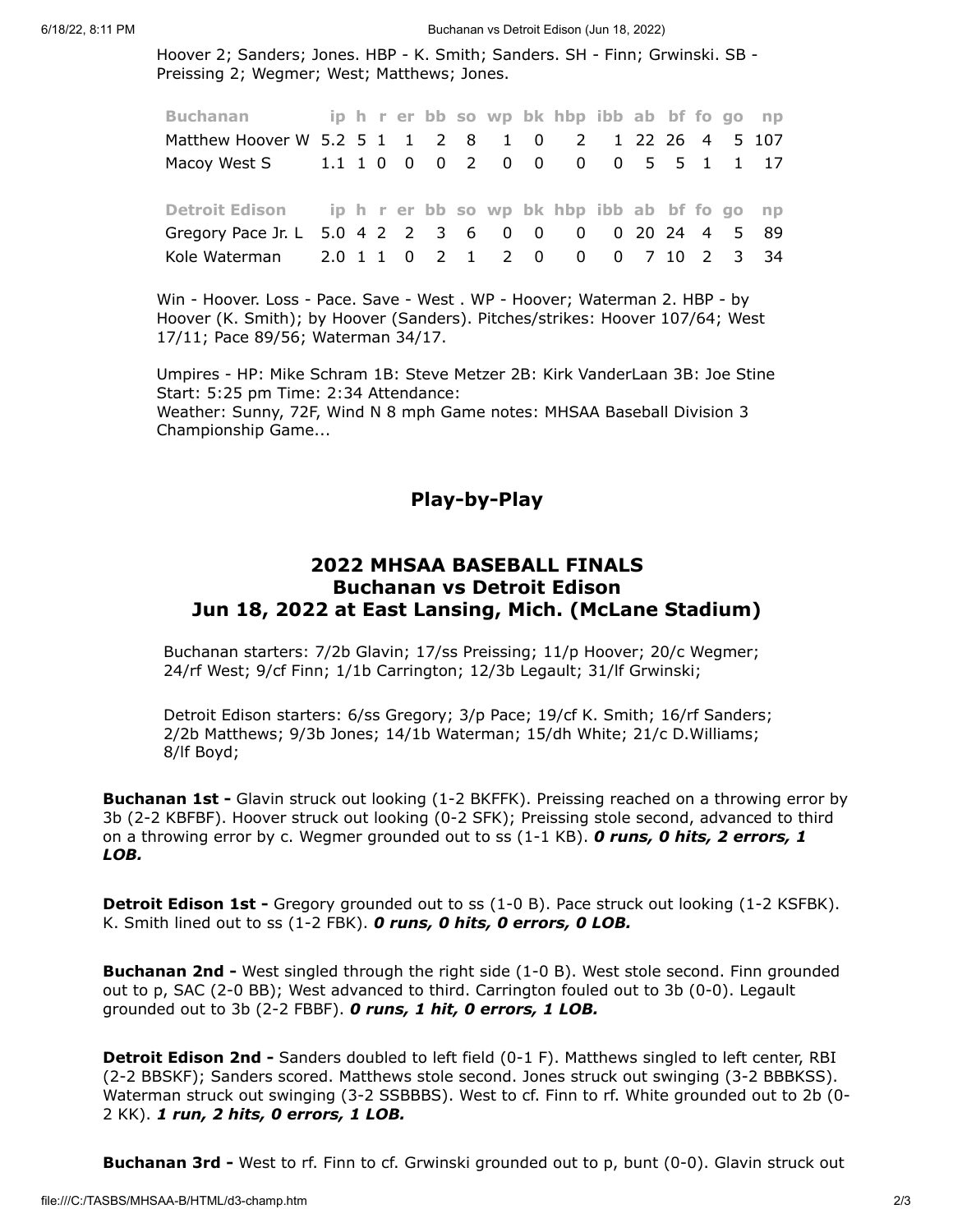6/18/22, 8:11 PM Buchanan vs Detroit Edison (Jun 18, 2022)

Hoover 2; Sanders; Jones. HBP - K. Smith; Sanders. SH - Finn; Grwinski. SB - Preissing 2; Wegmer; West; Matthews; Jones.

| Buchanan                                                    |  |  |  |  | ip h r er bb so wp bk hbp ibb ab bf fo go np |  |  |  |
|-------------------------------------------------------------|--|--|--|--|----------------------------------------------|--|--|--|
| Matthew Hoover W 5.2 5 1 1 2 8 1 0 2 1 22 26 4 5 107        |  |  |  |  |                                              |  |  |  |
|                                                             |  |  |  |  |                                              |  |  |  |
|                                                             |  |  |  |  |                                              |  |  |  |
| Detroit Edison ip h r er bb so wp bk hbp ibb ab bf fo go np |  |  |  |  |                                              |  |  |  |
| Gregory Pace Jr. L 5.0 4 2 2 3 6 0 0 0 0 20 24 4 5 89       |  |  |  |  |                                              |  |  |  |
| Kole Waterman 2.0 1 1 0 2 1 2 0 0 0 7 10 2 3 34             |  |  |  |  |                                              |  |  |  |

Win - Hoover. Loss - Pace. Save - West . WP - Hoover; Waterman 2. HBP - by Hoover (K. Smith); by Hoover (Sanders). Pitches/strikes: Hoover 107/64; West 17/11; Pace 89/56; Waterman 34/17.

<span id="page-1-0"></span>Umpires - HP: Mike Schram 1B: Steve Metzer 2B: Kirk VanderLaan 3B: Joe Stine Start: 5:25 pm Time: 2:34 Attendance: Weather: Sunny, 72F, Wind N 8 mph Game notes: MHSAA Baseball Division 3 Championship Game...

#### Play-by-Play

#### 2022 MHSAA BASEBALL FINALS Buchanan vs Detroit Edison Jun 18, 2022 at East Lansing, Mich. (McLane Stadium)

Buchanan starters: 7/2b Glavin; 17/ss Preissing; 11/p Hoover; 20/c Wegmer; 24/rf West; 9/cf Finn; 1/1b Carrington; 12/3b Legault; 31/lf Grwinski;

Detroit Edison starters: 6/ss Gregory; 3/p Pace; 19/cf K. Smith; 16/rf Sanders; 2/2b Matthews; 9/3b Jones; 14/1b Waterman; 15/dh White; 21/c D.Williams; 8/lf Boyd;

**Buchanan 1st** - Glavin struck out looking (1-2 BKFFK). Preissing reached on a throwing error by 3b (2-2 KBFBF). Hoover struck out looking (0-2 SFK); Preissing stole second, advanced to third on a throwing error by c. Wegmer grounded out to ss  $(1-1 KB)$ . O runs, O hits, 2 errors, 1 LOB.

**Detroit Edison 1st -** Gregory grounded out to ss (1-0 B). Pace struck out looking (1-2 KSFBK). K. Smith lined out to ss (1-2 FBK). O runs, O hits, O errors, O LOB.

**Buchanan 2nd -** West singled through the right side (1-0 B). West stole second. Finn grounded out to p, SAC (2-0 BB); West advanced to third. Carrington fouled out to 3b (0-0). Legault grounded out to 3b (2-2 FBBF). O runs, 1 hit, O errors, 1 LOB.

**Detroit Edison 2nd -** Sanders doubled to left field (0-1 F). Matthews singled to left center, RBI (2-2 BBSKF); Sanders scored. Matthews stole second. Jones struck out swinging (3-2 BBBKSS). Waterman struck out swinging (3-2 SSBBBS). West to cf. Finn to rf. White grounded out to 2b (0- 2 KK). 1 run, 2 hits, 0 errors, 1 LOB.

**Buchanan 3rd -** West to rf. Finn to cf. Grwinski grounded out to p, bunt (0-0). Glavin struck out